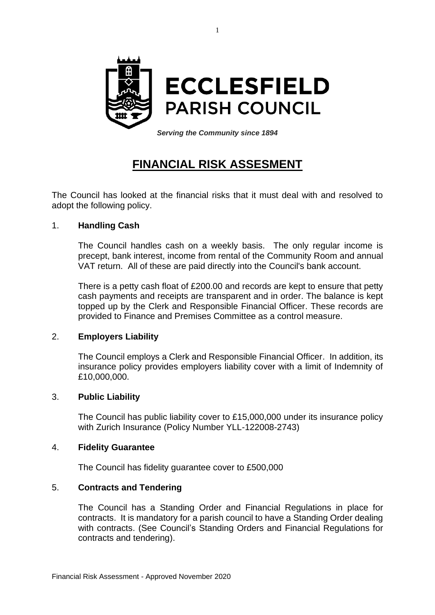

1

*Serving the Community since 1894*

# **FINANCIAL RISK ASSESMENT**

The Council has looked at the financial risks that it must deal with and resolved to adopt the following policy.

## 1. **Handling Cash**

The Council handles cash on a weekly basis. The only regular income is precept, bank interest, income from rental of the Community Room and annual VAT return. All of these are paid directly into the Council's bank account.

There is a petty cash float of £200.00 and records are kept to ensure that petty cash payments and receipts are transparent and in order. The balance is kept topped up by the Clerk and Responsible Financial Officer. These records are provided to Finance and Premises Committee as a control measure.

#### 2. **Employers Liability**

The Council employs a Clerk and Responsible Financial Officer. In addition, its insurance policy provides employers liability cover with a limit of Indemnity of £10,000,000.

#### 3. **Public Liability**

The Council has public liability cover to £15,000,000 under its insurance policy with Zurich Insurance (Policy Number YLL-122008-2743)

#### 4. **Fidelity Guarantee**

The Council has fidelity guarantee cover to £500,000

# 5. **Contracts and Tendering**

The Council has a Standing Order and Financial Regulations in place for contracts. It is mandatory for a parish council to have a Standing Order dealing with contracts. (See Council's Standing Orders and Financial Regulations for contracts and tendering).